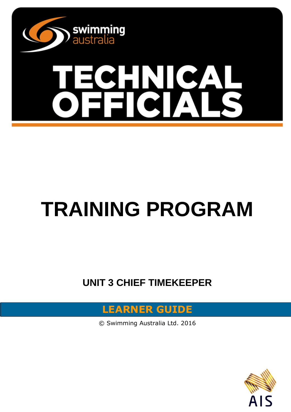

# **TRAINING PROGRAM**

**UNIT 3 CHIEF TIMEKEEPER** 



© Swimming Australia Ltd. 2016

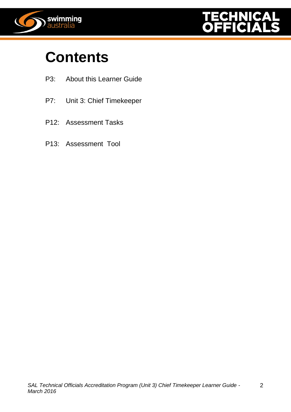



# **Contents**

- P3: About this Learner Guide
- P7: Unit 3: Chief Timekeeper
- P12: Assessment Tasks
- P13: Assessment Tool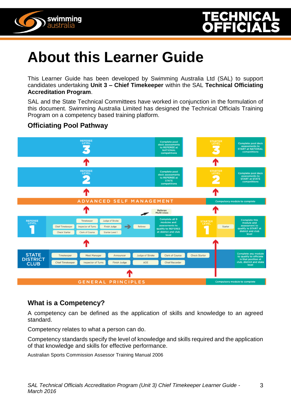



# **About this Learner Guide**

This Learner Guide has been developed by Swimming Australia Ltd (SAL) to support candidates undertaking **Unit 3 – Chief Timekeeper** within the SAL **Technical Officiating Accreditation Program**.

SAL and the State Technical Committees have worked in conjunction in the formulation of this document. Swimming Australia Limited has designed the Technical Officials Training Program on a competency based training platform.

# **Officiating Pool Pathway**



# **What is a Competency?**

A competency can be defined as the application of skills and knowledge to an agreed standard.

Competency relates to what a person can do.

Competency standards specify the level of knowledge and skills required and the application of that knowledge and skills for effective performance.

Australian Sports Commission Assessor Training Manual 2006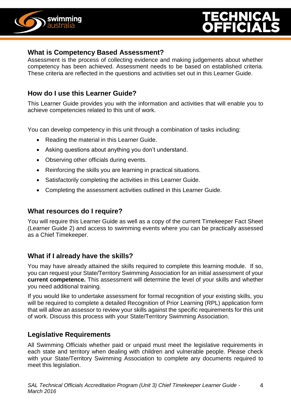

4

# **What is Competency Based Assessment?**

Assessment is the process of collecting evidence and making judgements about whether competency has been achieved. Assessment needs to be based on established criteria. These criteria are reflected in the questions and activities set out in this Learner Guide.

# **How do I use this Learner Guide?**

This Learner Guide provides you with the information and activities that will enable you to achieve competencies related to this unit of work.

You can develop competency in this unit through a combination of tasks including:

- Reading the material in this Learner Guide.
- Asking questions about anything you don't understand.
- Observing other officials during events.
- Reinforcing the skills you are learning in practical situations.
- Satisfactorily completing the activities in this Learner Guide.
- Completing the assessment activities outlined in this Learner Guide.

# **What resources do I require?**

You will require this Learner Guide as well as a copy of the current Timekeeper Fact Sheet (Learner Guide 2) and access to swimming events where you can be practically assessed as a Chief Timekeeper.

# **What if I already have the skills?**

You may have already attained the skills required to complete this learning module. If so, you can request your State/Territory Swimming Association for an initial assessment of your **current competence.** This assessment will determine the level of your skills and whether you need additional training.

If you would like to undertake assessment for formal recognition of your existing skills, you will be required to complete a detailed Recognition of Prior Learning (RPL) application form that will allow an assessor to review your skills against the specific requirements for this unit of work. Discuss this process with your State/Territory Swimming Association.

# **Legislative Requirements**

All Swimming Officials whether paid or unpaid must meet the legislative requirements in each state and territory when dealing with children and vulnerable people. Please check with your State/Territory Swimming Association to complete any documents required to meet this legislation.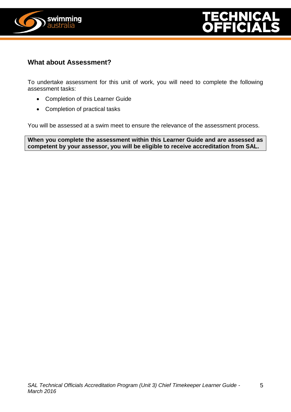



# **What about Assessment?**

To undertake assessment for this unit of work, you will need to complete the following assessment tasks:

- Completion of this Learner Guide
- Completion of practical tasks

You will be assessed at a swim meet to ensure the relevance of the assessment process.

**When you complete the assessment within this Learner Guide and are assessed as competent by your assessor, you will be eligible to receive accreditation from SAL.**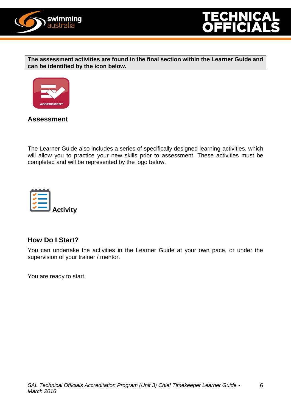

**The assessment activities are found in the final section within the Learner Guide and can be identified by the icon below.**



**Assessment**

The Learner Guide also includes a series of specifically designed learning activities, which will allow you to practice your new skills prior to assessment. These activities must be completed and will be represented by the logo below.



# **How Do I Start?**

You can undertake the activities in the Learner Guide at your own pace, or under the supervision of your trainer / mentor.

You are ready to start.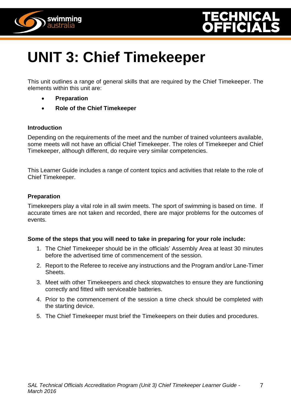



# **UNIT 3: Chief Timekeeper**

This unit outlines a range of general skills that are required by the Chief Timekeeper. The elements within this unit are:

- **Preparation**
- **Role of the Chief Timekeeper**

#### **Introduction**

Depending on the requirements of the meet and the number of trained volunteers available, some meets will not have an official Chief Timekeeper. The roles of Timekeeper and Chief Timekeeper, although different, do require very similar competencies.

This Learner Guide includes a range of content topics and activities that relate to the role of Chief Timekeeper.

#### **Preparation**

Timekeepers play a vital role in all swim meets. The sport of swimming is based on time. If accurate times are not taken and recorded, there are major problems for the outcomes of events.

#### **Some of the steps that you will need to take in preparing for your role include:**

- 1. The Chief Timekeeper should be in the officials' Assembly Area at least 30 minutes before the advertised time of commencement of the session.
- 2. Report to the Referee to receive any instructions and the Program and/or Lane-Timer Sheets.
- 3. Meet with other Timekeepers and check stopwatches to ensure they are functioning correctly and fitted with serviceable batteries.
- 4. Prior to the commencement of the session a time check should be completed with the starting device.
- 5. The Chief Timekeeper must brief the Timekeepers on their duties and procedures.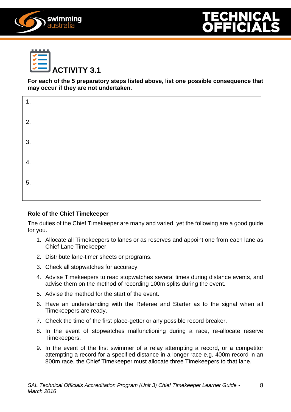





**For each of the 5 preparatory steps listed above, list one possible consequence that may occur if they are not undertaken**.

1. 2. 3. 4. 5.

#### **Role of the Chief Timekeeper**

The duties of the Chief Timekeeper are many and varied, yet the following are a good guide for you.

- 1. Allocate all Timekeepers to lanes or as reserves and appoint one from each lane as Chief Lane Timekeeper.
- 2. Distribute lane-timer sheets or programs.
- 3. Check all stopwatches for accuracy.
- 4. Advise Timekeepers to read stopwatches several times during distance events, and advise them on the method of recording 100m splits during the event.
- 5. Advise the method for the start of the event.
- 6. Have an understanding with the Referee and Starter as to the signal when all Timekeepers are ready.
- 7. Check the time of the first place-getter or any possible record breaker.
- 8. In the event of stopwatches malfunctioning during a race, re-allocate reserve Timekeepers.
- 9. In the event of the first swimmer of a relay attempting a record, or a competitor attempting a record for a specified distance in a longer race e.g. 400m record in an 800m race, the Chief Timekeeper must allocate three Timekeepers to that lane.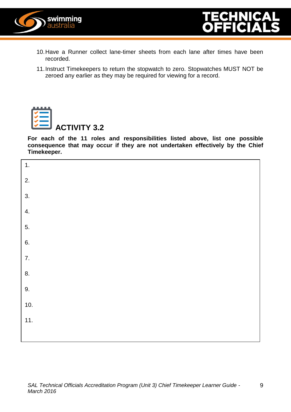



- 10.Have a Runner collect lane-timer sheets from each lane after times have been recorded.
- 11.Instruct Timekeepers to return the stopwatch to zero. Stopwatches MUST NOT be zeroed any earlier as they may be required for viewing for a record.



**For each of the 11 roles and responsibilities listed above, list one possible consequence that may occur if they are not undertaken effectively by the Chief Timekeeper.**

| 1.               |  |  |
|------------------|--|--|
| 2.               |  |  |
| $\overline{3}$ . |  |  |
| $\overline{4}$ . |  |  |
| $\overline{5}$ . |  |  |
| 6.               |  |  |
| $\overline{7}$ . |  |  |
| 8.               |  |  |
| 9.               |  |  |
| 10.              |  |  |
| 11.              |  |  |
|                  |  |  |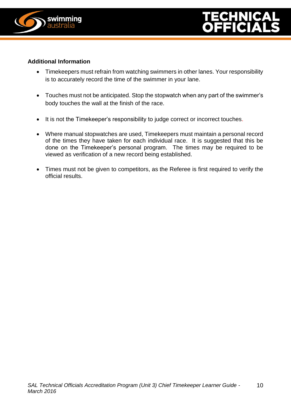

#### **Additional Information**

- Timekeepers must refrain from watching swimmers in other lanes. Your responsibility is to accurately record the time of the swimmer in your lane.
- Touches must not be anticipated. Stop the stopwatch when any part of the swimmer's body touches the wall at the finish of the race.
- It is not the Timekeeper's responsibility to judge correct or incorrect touches.
- Where manual stopwatches are used, Timekeepers must maintain a personal record of the times they have taken for each individual race. It is suggested that this be done on the Timekeeper's personal program. The times may be required to be viewed as verification of a new record being established.
- Times must not be given to competitors, as the Referee is first required to verify the official results.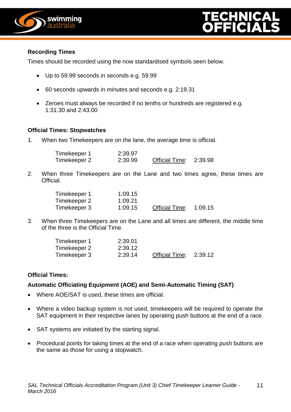



#### **Recording Times**

Times should be recorded using the now standardised symbols seen below.

- Up to 59.99 seconds in seconds e.g. 59.99
- 60 seconds upwards in minutes and seconds e.g. 2:19.31
- Zeroes must always be recorded if no tenths or hundreds are registered e.g. 1:31.30 and 2:43.00

#### **Official Times: Stopwatches**

1. When two Timekeepers are on the lane, the average time is official.

| Timekeeper 1 | 2:39.97 |                       |         |
|--------------|---------|-----------------------|---------|
| Timekeeper 2 | 2:39.99 | <b>Official Time:</b> | 2:39.98 |

2. When three Timekeepers are on the Lane and two times agree, these times are Official.

| Timekeeper 1 | 1:09.15 |                       |         |
|--------------|---------|-----------------------|---------|
| Timekeeper 2 | 1:09.21 |                       |         |
| Timekeeper 3 | 1:09.15 | <b>Official Time:</b> | 1:09.15 |

3. When three Timekeepers are on the Lane and all times are different, the middle time of the three is the Official Time.

| Timekeeper 1 | 2:39.01 |                       |         |
|--------------|---------|-----------------------|---------|
| Timekeeper 2 | 2:39.12 |                       |         |
| Timekeeper 3 | 2:39.14 | <b>Official Time:</b> | 2:39.12 |

#### **Official Times:**

#### **Automatic Officiating Equipment (AOE) and Semi-Automatic Timing (SAT)**

- Where AOE/SAT is used, these times are official.
- Where a video backup system is not used, timekeepers will be required to operate the SAT equipment in their respective lanes by operating push buttons at the end of a race.
- SAT systems are initiated by the starting signal.
- Procedural points for taking times at the end of a race when operating push buttons are the same as those for using a stopwatch.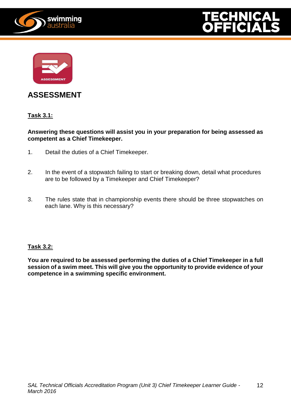





# **ASSESSMENT**

# **Task 3.1:**

#### **Answering these questions will assist you in your preparation for being assessed as competent as a Chief Timekeeper.**

- 1. Detail the duties of a Chief Timekeeper.
- 2. In the event of a stopwatch failing to start or breaking down, detail what procedures are to be followed by a Timekeeper and Chief Timekeeper?
- 3. The rules state that in championship events there should be three stopwatches on each lane. Why is this necessary?

#### **Task 3.2:**

**You are required to be assessed performing the duties of a Chief Timekeeper in a full session of a swim meet. This will give you the opportunity to provide evidence of your competence in a swimming specific environment.**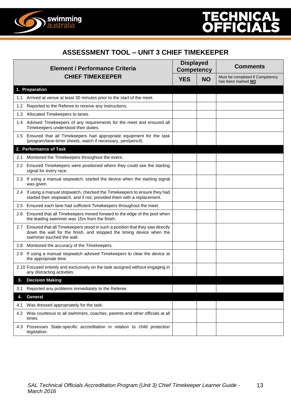

# **ASSESSMENT TOOL – UNIT 3 CHIEF TIMEKEEPER**

| <b>Element / Performance Criteria</b><br><b>CHIEF TIMEKEEPER</b> |                                                                                                                                                                                       | <b>Displayed</b><br><b>Competency</b> |           | <b>Comments</b>                                       |  |
|------------------------------------------------------------------|---------------------------------------------------------------------------------------------------------------------------------------------------------------------------------------|---------------------------------------|-----------|-------------------------------------------------------|--|
|                                                                  |                                                                                                                                                                                       | <b>YES</b>                            | <b>NO</b> | Must be completed if Competency<br>has been marked NO |  |
|                                                                  | 1. Preparation                                                                                                                                                                        |                                       |           |                                                       |  |
|                                                                  | 1.1 Arrived at venue at least 30 minutes prior to the start of the meet.                                                                                                              |                                       |           |                                                       |  |
| 1.2                                                              | Reported to the Referee to receive any instructions.                                                                                                                                  |                                       |           |                                                       |  |
|                                                                  | 1.3 Allocated Timekeepers to lanes.                                                                                                                                                   |                                       |           |                                                       |  |
|                                                                  | 1.4 Advised Timekeepers of any requirements for the meet and ensured all<br>Timekeepers understood their duties.                                                                      |                                       |           |                                                       |  |
|                                                                  | 1.5 Ensured that all Timekeepers had appropriate equipment for the task<br>(program/lane-timer sheets, watch if necessary, pen/pencil).                                               |                                       |           |                                                       |  |
|                                                                  | 2. Performance of Task                                                                                                                                                                |                                       |           |                                                       |  |
| 2.1                                                              | Monitored the Timekeepers throughout the event.                                                                                                                                       |                                       |           |                                                       |  |
|                                                                  | 2.2 Ensured Timekeepers were positioned where they could see the starting<br>signal for every race.                                                                                   |                                       |           |                                                       |  |
| 2.3                                                              | If using a manual stopwatch, started the device when the starting signal<br>was given.                                                                                                |                                       |           |                                                       |  |
|                                                                  | 2.4 If using a manual stopwatch, checked the Timekeepers to ensure they had<br>started their stopwatch, and if not, provided them with a replacement.                                 |                                       |           |                                                       |  |
|                                                                  | 2.5 Ensured each lane had sufficient Timekeepers throughout the meet.                                                                                                                 |                                       |           |                                                       |  |
|                                                                  | 2.6 Ensured that all Timekeepers moved forward to the edge of the pool when<br>the leading swimmer was 15m from the finish.                                                           |                                       |           |                                                       |  |
|                                                                  | 2.7 Ensured that all Timekeepers stood in such a position that they saw directly<br>down the wall for the finish, and stopped the timing device when the<br>swimmer touched the wall. |                                       |           |                                                       |  |
|                                                                  | 2.8 Monitored the accuracy of the Timekeepers.                                                                                                                                        |                                       |           |                                                       |  |
| 2.9                                                              | If using a manual stopwatch advised Timekeepers to clear the device at<br>the appropriate time.                                                                                       |                                       |           |                                                       |  |
|                                                                  | 2.10 Focused entirely and exclusively on the task assigned without engaging in<br>any distracting activities.                                                                         |                                       |           |                                                       |  |
|                                                                  | 3. Decision Making                                                                                                                                                                    |                                       |           |                                                       |  |
| 3.1                                                              | Reported any problems immediately to the Referee.                                                                                                                                     |                                       |           |                                                       |  |
| 4.                                                               | <b>General</b>                                                                                                                                                                        |                                       |           |                                                       |  |
| 4.1                                                              | Was dressed appropriately for the task.                                                                                                                                               |                                       |           |                                                       |  |
|                                                                  | 4.2 Was courteous to all swimmers, coaches, parents and other officials at all<br>times.                                                                                              |                                       |           |                                                       |  |
|                                                                  | 4.3 Possesses State-specific accreditation in relation to child protection<br>legislation.                                                                                            |                                       |           |                                                       |  |